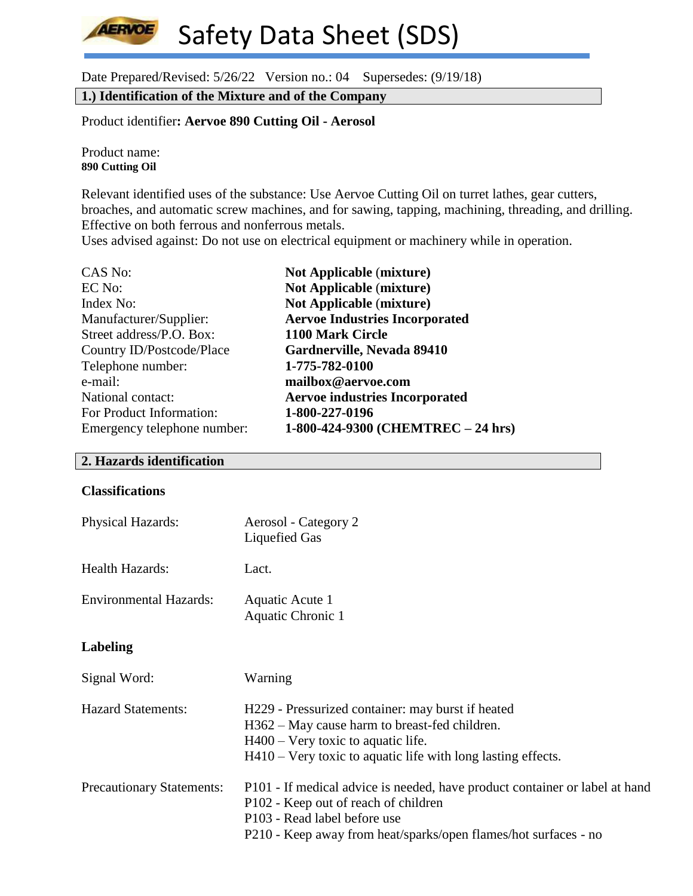Date Prepared/Revised: 5/26/22 Version no.: 04 Supersedes: (9/19/18)

**1.) Identification of the Mixture and of the Company**

Product identifier**: Aervoe 890 Cutting Oil - Aerosol**

Product name: **890 Cutting Oil**

**AERVOE** 

Relevant identified uses of the substance: Use Aervoe Cutting Oil on turret lathes, gear cutters, broaches, and automatic screw machines, and for sawing, tapping, machining, threading, and drilling. Effective on both ferrous and nonferrous metals.

Uses advised against: Do not use on electrical equipment or machinery while in operation.

| <b>Not Applicable (mixture)</b>       |
|---------------------------------------|
| <b>Not Applicable (mixture)</b>       |
| <b>Not Applicable (mixture)</b>       |
| <b>Aervoe Industries Incorporated</b> |
| 1100 Mark Circle                      |
| Gardnerville, Nevada 89410            |
| 1-775-782-0100                        |
| mailbox@aervoe.com                    |
| <b>Aervoe industries Incorporated</b> |
| 1-800-227-0196                        |
| 1-800-424-9300 (CHEMTREC – 24 hrs)    |
|                                       |

# **2. Hazards identification**

## **Classifications**

| <b>Physical Hazards:</b>         | Aerosol - Category 2<br>Liquefied Gas                                                                                                                                                                                  |
|----------------------------------|------------------------------------------------------------------------------------------------------------------------------------------------------------------------------------------------------------------------|
| <b>Health Hazards:</b>           | Lact.                                                                                                                                                                                                                  |
| <b>Environmental Hazards:</b>    | Aquatic Acute 1<br>Aquatic Chronic 1                                                                                                                                                                                   |
| Labeling                         |                                                                                                                                                                                                                        |
| Signal Word:                     | Warning                                                                                                                                                                                                                |
| <b>Hazard Statements:</b>        | H229 - Pressurized container: may burst if heated<br>H362 – May cause harm to breast-fed children.<br>$H400 - V$ ery toxic to aquatic life.<br>$H410 - V$ ery toxic to aquatic life with long lasting effects.         |
| <b>Precautionary Statements:</b> | P101 - If medical advice is needed, have product container or label at hand<br>P102 - Keep out of reach of children<br>P103 - Read label before use<br>P210 - Keep away from heat/sparks/open flames/hot surfaces - no |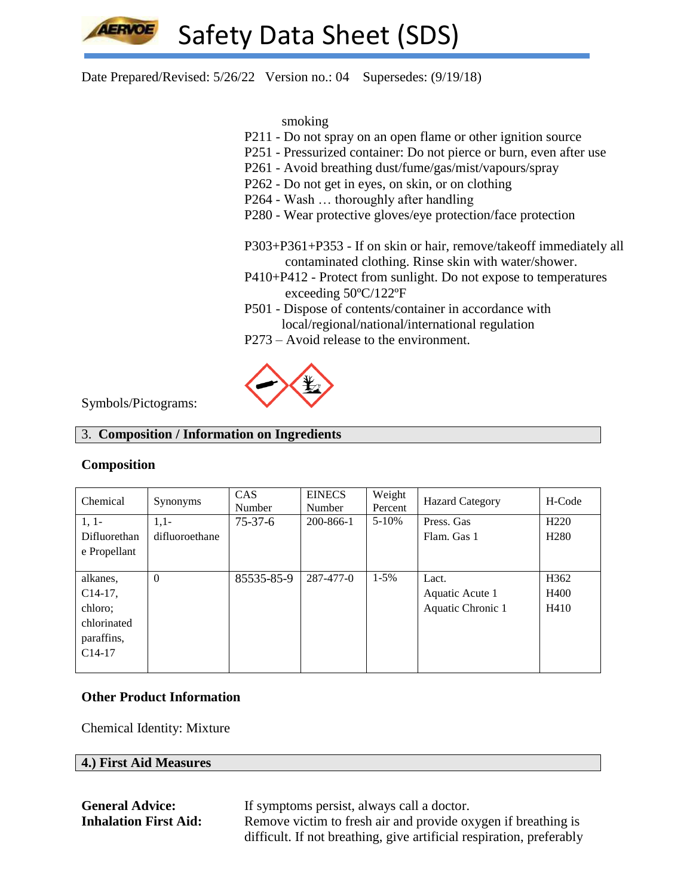

Date Prepared/Revised: 5/26/22 Version no.: 04 Supersedes: (9/19/18)

smoking

- P211 Do not spray on an open flame or other ignition source
- P251 Pressurized container: Do not pierce or burn, even after use
- P261 Avoid breathing dust/fume/gas/mist/vapours/spray
- P262 Do not get in eyes, on skin, or on clothing
- P264 Wash … thoroughly after handling
- P280 Wear protective gloves/eye protection/face protection

P303+P361+P353 - If on skin or hair, remove/takeoff immediately all contaminated clothing. Rinse skin with water/shower.

- P410+P412 Protect from sunlight. Do not expose to temperatures exceeding 50ºC/122ºF
- P501 Dispose of contents/container in accordance with local/regional/national/international regulation
- P273 Avoid release to the environment.



Symbols/Pictograms:

## 3. **Composition / Information on Ingredients**

# **Composition**

| Chemical                                                                   | Synonyms                 | <b>CAS</b><br>Number | <b>EINECS</b><br>Number | Weight<br>Percent | <b>Hazard Category</b>                        | H-Code                               |
|----------------------------------------------------------------------------|--------------------------|----------------------|-------------------------|-------------------|-----------------------------------------------|--------------------------------------|
| $1, 1-$<br>Difluorethan                                                    | $1,1-$<br>difluoroethane | $75-37-6$            | 200-866-1               | $5 - 10%$         | Press. Gas<br>Flam. Gas 1                     | H <sub>220</sub><br>H <sub>280</sub> |
| e Propellant                                                               |                          |                      |                         |                   |                                               |                                      |
| alkanes,<br>$C14-17$ ,<br>chloro;<br>chlorinated<br>paraffins,<br>$C14-17$ | $\Omega$                 | 85535-85-9           | 287-477-0               | $1 - 5\%$         | Lact.<br>Aquatic Acute 1<br>Aquatic Chronic 1 | H <sub>362</sub><br>H400<br>H410     |

# **Other Product Information**

Chemical Identity: Mixture

# **4.) First Aid Measures**

**General Advice:** If symptoms persist, always call a doctor. **Inhalation First Aid:** Remove victim to fresh air and provide oxygen if breathing is difficult. If not breathing, give artificial respiration, preferably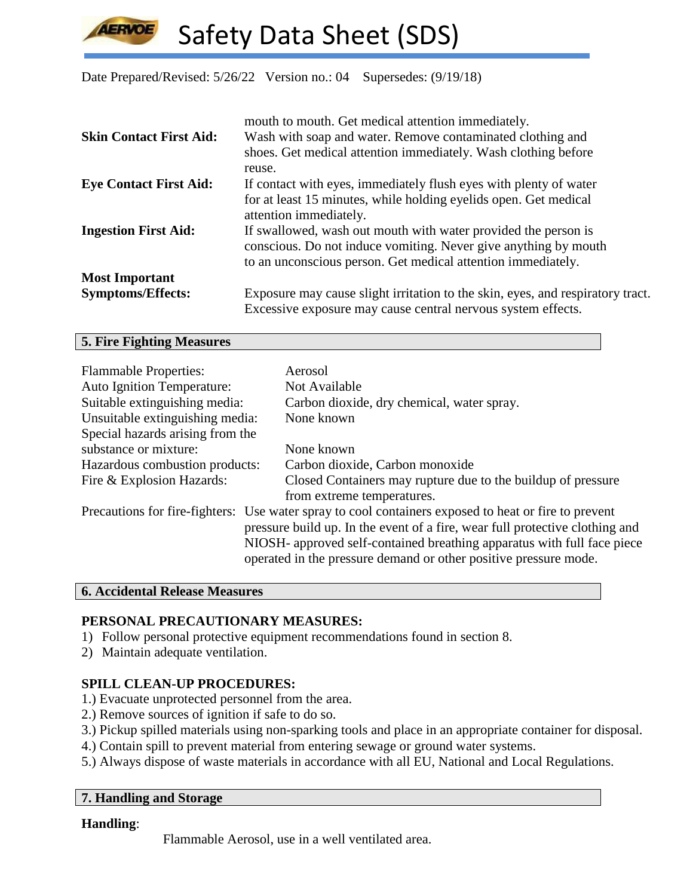Date Prepared/Revised: 5/26/22 Version no.: 04 Supersedes: (9/19/18)

|                                | mouth to mouth. Get medical attention immediately.                             |
|--------------------------------|--------------------------------------------------------------------------------|
| <b>Skin Contact First Aid:</b> | Wash with soap and water. Remove contaminated clothing and                     |
|                                | shoes. Get medical attention immediately. Wash clothing before                 |
|                                | reuse.                                                                         |
| <b>Eye Contact First Aid:</b>  | If contact with eyes, immediately flush eyes with plenty of water              |
|                                | for at least 15 minutes, while holding eyelids open. Get medical               |
|                                | attention immediately.                                                         |
| <b>Ingestion First Aid:</b>    | If swallowed, wash out mouth with water provided the person is                 |
|                                | conscious. Do not induce vomiting. Never give anything by mouth                |
|                                | to an unconscious person. Get medical attention immediately.                   |
| <b>Most Important</b>          |                                                                                |
| <b>Symptoms/Effects:</b>       | Exposure may cause slight irritation to the skin, eyes, and respiratory tract. |
|                                | Excessive exposure may cause central nervous system effects.                   |

# **5. Fire Fighting Measures**

**LERVOE** 

| <b>Flammable Properties:</b><br><b>Auto Ignition Temperature:</b> | Aerosol<br>Not Available                                                                                                                                                                                                                                                                                                            |
|-------------------------------------------------------------------|-------------------------------------------------------------------------------------------------------------------------------------------------------------------------------------------------------------------------------------------------------------------------------------------------------------------------------------|
| Suitable extinguishing media:                                     | Carbon dioxide, dry chemical, water spray.                                                                                                                                                                                                                                                                                          |
| Unsuitable extinguishing media:                                   | None known                                                                                                                                                                                                                                                                                                                          |
| Special hazards arising from the                                  |                                                                                                                                                                                                                                                                                                                                     |
| substance or mixture:                                             | None known                                                                                                                                                                                                                                                                                                                          |
| Hazardous combustion products:                                    | Carbon dioxide, Carbon monoxide                                                                                                                                                                                                                                                                                                     |
| Fire & Explosion Hazards:                                         | Closed Containers may rupture due to the buildup of pressure                                                                                                                                                                                                                                                                        |
|                                                                   | from extreme temperatures.                                                                                                                                                                                                                                                                                                          |
|                                                                   | Precautions for fire-fighters: Use water spray to cool containers exposed to heat or fire to prevent<br>pressure build up. In the event of a fire, wear full protective clothing and<br>NIOSH- approved self-contained breathing apparatus with full face piece<br>operated in the pressure demand or other positive pressure mode. |

## **6. Accidental Release Measures**

#### **PERSONAL PRECAUTIONARY MEASURES:**

- 1) Follow personal protective equipment recommendations found in section 8.
- 2) Maintain adequate ventilation.

# **SPILL CLEAN-UP PROCEDURES:**

- 1.) Evacuate unprotected personnel from the area.
- 2.) Remove sources of ignition if safe to do so.
- 3.) Pickup spilled materials using non-sparking tools and place in an appropriate container for disposal.
- 4.) Contain spill to prevent material from entering sewage or ground water systems.
- 5.) Always dispose of waste materials in accordance with all EU, National and Local Regulations.

#### **7. Handling and Storage**

#### **Handling**:

Flammable Aerosol, use in a well ventilated area.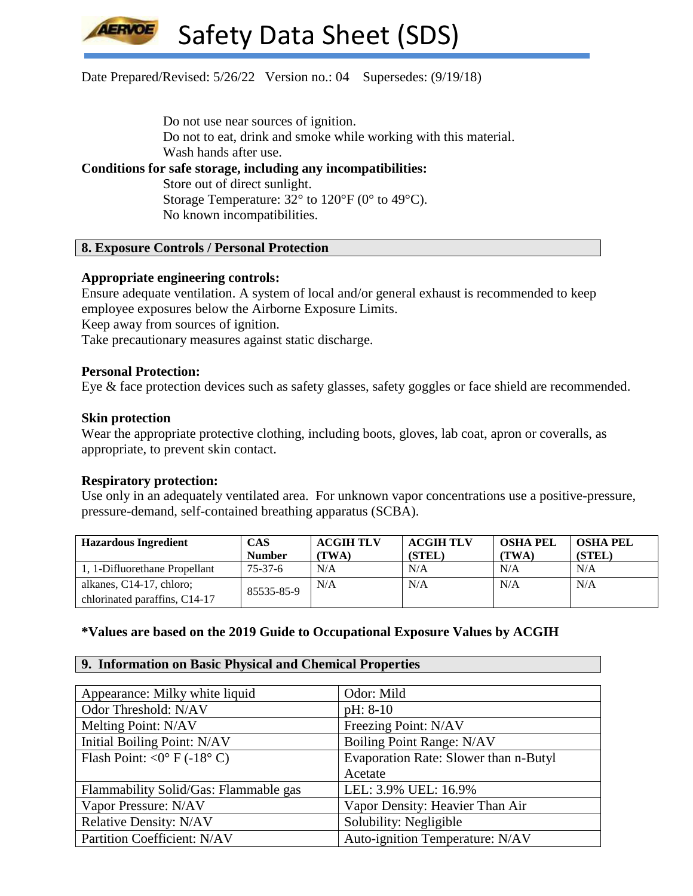# Date Prepared/Revised: 5/26/22 Version no.: 04 Supersedes: (9/19/18)

Do not use near sources of ignition.

Do not to eat, drink and smoke while working with this material. Wash hands after use.

# **Conditions for safe storage, including any incompatibilities:**

Store out of direct sunlight. Storage Temperature:  $32^{\circ}$  to  $120^{\circ}$ F (0° to 49°C). No known incompatibilities.

# **8. Exposure Controls / Personal Protection**

# **Appropriate engineering controls:**

Ensure adequate ventilation. A system of local and/or general exhaust is recommended to keep employee exposures below the Airborne Exposure Limits.

Keep away from sources of ignition.

Take precautionary measures against static discharge.

## **Personal Protection:**

Eye & face protection devices such as safety glasses, safety goggles or face shield are recommended.

## **Skin protection**

Wear the appropriate protective clothing, including boots, gloves, lab coat, apron or coveralls, as appropriate, to prevent skin contact.

# **Respiratory protection:**

Use only in an adequately ventilated area. For unknown vapor concentrations use a positive-pressure, pressure-demand, self-contained breathing apparatus (SCBA).

| <b>Hazardous Ingredient</b>   | <b>CAS</b>    | <b>ACGIH TLV</b> | <b>ACGIH TLV</b> | <b>OSHA PEL</b> | <b>OSHA PEL</b> |
|-------------------------------|---------------|------------------|------------------|-----------------|-----------------|
|                               | <b>Number</b> | (TWA)            | (STEL)           | (TWA)           | (STEL)          |
| 1, 1-Difluorethane Propellant | 75-37-6       | N/A              | N/A              | N/A             | N/A             |
| alkanes, C14-17, chloro;      | 85535-85-9    | N/A              | N/A              | N/A             | N/A             |
| chlorinated paraffins, C14-17 |               |                  |                  |                 |                 |

# **\*Values are based on the 2019 Guide to Occupational Exposure Values by ACGIH**

#### **9. Information on Basic Physical and Chemical Properties**

| Appearance: Milky white liquid        | Odor: Mild                            |
|---------------------------------------|---------------------------------------|
| Odor Threshold: N/AV                  | $pH: 8-10$                            |
| Melting Point: N/AV                   | Freezing Point: N/AV                  |
| Initial Boiling Point: N/AV           | Boiling Point Range: N/AV             |
| Flash Point: < $0^{\circ}$ F (-18° C) | Evaporation Rate: Slower than n-Butyl |
|                                       | Acetate                               |
| Flammability Solid/Gas: Flammable gas | LEL: 3.9% UEL: 16.9%                  |
| Vapor Pressure: N/AV                  | Vapor Density: Heavier Than Air       |
| <b>Relative Density: N/AV</b>         | Solubility: Negligible                |
| Partition Coefficient: N/AV           | Auto-ignition Temperature: N/AV       |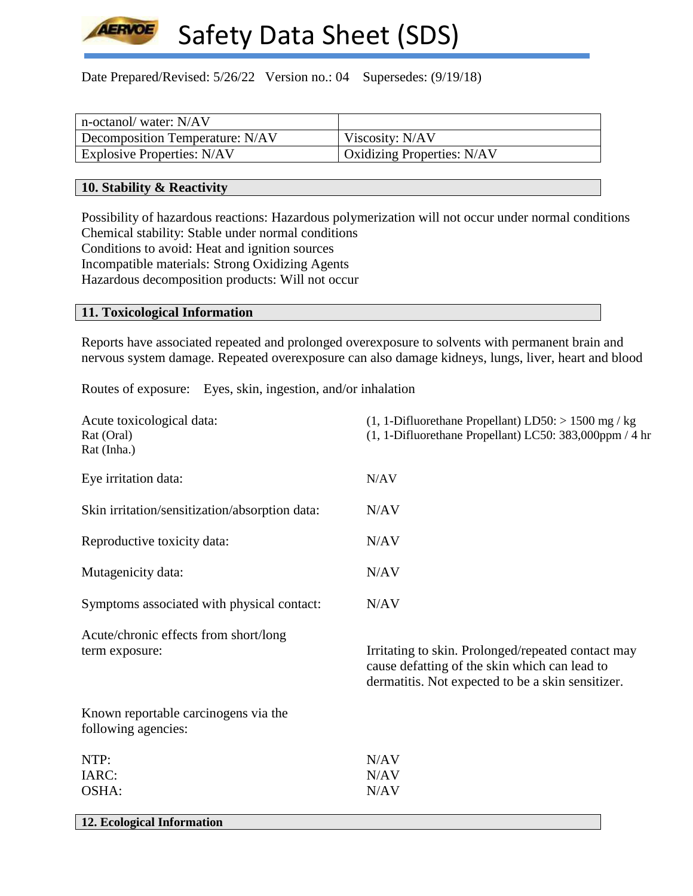

Date Prepared/Revised: 5/26/22 Version no.: 04 Supersedes: (9/19/18)

| n-octanol/water: N/AV             |                            |
|-----------------------------------|----------------------------|
| Decomposition Temperature: N/AV   | Viscosity: N/AV            |
| <b>Explosive Properties: N/AV</b> | Oxidizing Properties: N/AV |

## **10. Stability & Reactivity**

Possibility of hazardous reactions: Hazardous polymerization will not occur under normal conditions Chemical stability: Stable under normal conditions Conditions to avoid: Heat and ignition sources Incompatible materials: Strong Oxidizing Agents Hazardous decomposition products: Will not occur

# **11. Toxicological Information**

Reports have associated repeated and prolonged overexposure to solvents with permanent brain and nervous system damage. Repeated overexposure can also damage kidneys, lungs, liver, heart and blood

Routes of exposure: Eyes, skin, ingestion, and/or inhalation

| Acute toxicological data:<br>Rat (Oral)<br>Rat (Inha.)      | $(1, 1$ -Difluorethane Propellant) LD50: > 1500 mg / kg<br>$(1, 1$ -Difluorethane Propellant) LC50: 383,000ppm / 4 hr                                    |
|-------------------------------------------------------------|----------------------------------------------------------------------------------------------------------------------------------------------------------|
| Eye irritation data:                                        | N/AV                                                                                                                                                     |
| Skin irritation/sensitization/absorption data:              | N/AV                                                                                                                                                     |
| Reproductive toxicity data:                                 | N/AV                                                                                                                                                     |
| Mutagenicity data:                                          | N/AV                                                                                                                                                     |
| Symptoms associated with physical contact:                  | N/AV                                                                                                                                                     |
| Acute/chronic effects from short/long<br>term exposure:     | Irritating to skin. Prolonged/repeated contact may<br>cause defatting of the skin which can lead to<br>dermatitis. Not expected to be a skin sensitizer. |
| Known reportable carcinogens via the<br>following agencies: |                                                                                                                                                          |
| NTP:                                                        | N/AV                                                                                                                                                     |
| IARC:                                                       | N/AV                                                                                                                                                     |
| OSHA:                                                       | N/AV                                                                                                                                                     |
| 12. Ecological Information                                  |                                                                                                                                                          |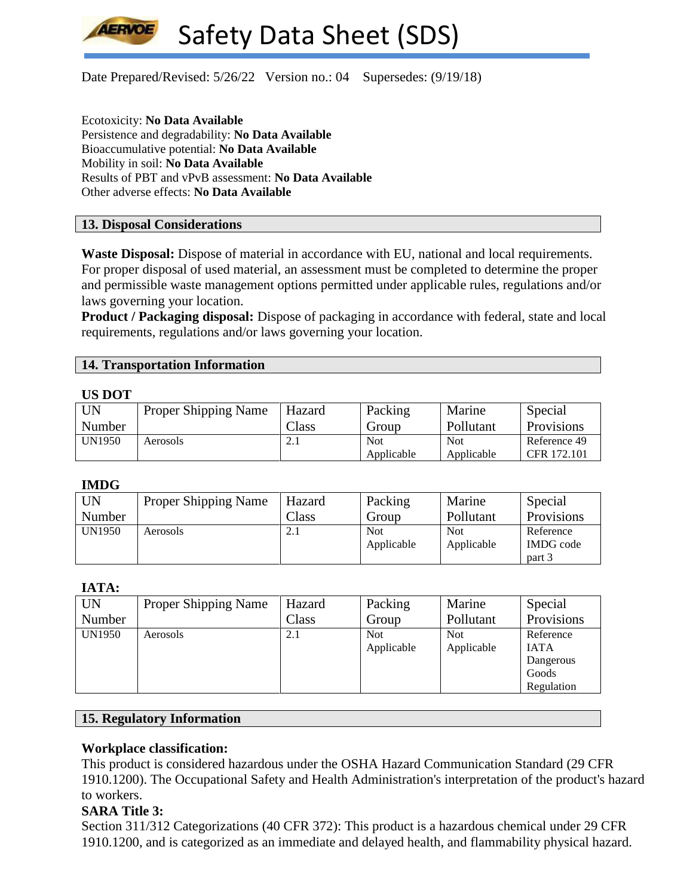**LERVOE** 

Safety Data Sheet (SDS)

Date Prepared/Revised: 5/26/22 Version no.: 04 Supersedes: (9/19/18)

Ecotoxicity: **No Data Available** Persistence and degradability: **No Data Available** Bioaccumulative potential: **No Data Available** Mobility in soil: **No Data Available** Results of PBT and vPvB assessment: **No Data Available** Other adverse effects: **No Data Available**

#### **13. Disposal Considerations**

**Waste Disposal:** Dispose of material in accordance with EU, national and local requirements. For proper disposal of used material, an assessment must be completed to determine the proper and permissible waste management options permitted under applicable rules, regulations and/or laws governing your location.

**Product / Packaging disposal:** Dispose of packaging in accordance with federal, state and local requirements, regulations and/or laws governing your location.

## **14. Transportation Information**

#### **US DOT**

| <b>UN</b>     | <b>Proper Shipping Name</b> | Hazard | Packing    | Marine     | Special           |
|---------------|-----------------------------|--------|------------|------------|-------------------|
| Number        |                             | Class  | Group      | Pollutant  | <b>Provisions</b> |
| <b>UN1950</b> | Aerosols                    | $\sim$ | <b>Not</b> | <b>Not</b> | Reference 49      |
|               |                             |        | Applicable | Applicable | CFR 172.101       |

#### **IMDG**

| <b>UN</b> | <b>Proper Shipping Name</b> | Hazard | Packing    | Marine     | Special          |
|-----------|-----------------------------|--------|------------|------------|------------------|
| Number    |                             | Class  | Group      | Pollutant  | Provisions       |
| UN1950    | Aerosols                    | 2.1    | <b>Not</b> | <b>Not</b> | Reference        |
|           |                             |        | Applicable | Applicable | <b>IMDG</b> code |
|           |                             |        |            |            | part 3           |

# **IATA:**

| <b>UN</b> | <b>Proper Shipping Name</b> | Hazard | Packing    | Marine     | Special     |
|-----------|-----------------------------|--------|------------|------------|-------------|
| Number    |                             | Class  | Group      | Pollutant  | Provisions  |
| UN1950    | Aerosols                    | 2.1    | <b>Not</b> | <b>Not</b> | Reference   |
|           |                             |        | Applicable | Applicable | <b>IATA</b> |
|           |                             |        |            |            | Dangerous   |
|           |                             |        |            |            | Goods       |
|           |                             |        |            |            | Regulation  |

## **15. Regulatory Information**

#### **Workplace classification:**

This product is considered hazardous under the OSHA Hazard Communication Standard (29 CFR 1910.1200). The Occupational Safety and Health Administration's interpretation of the product's hazard to workers.

# **SARA Title 3:**

Section 311/312 Categorizations (40 CFR 372): This product is a hazardous chemical under 29 CFR 1910.1200, and is categorized as an immediate and delayed health, and flammability physical hazard.